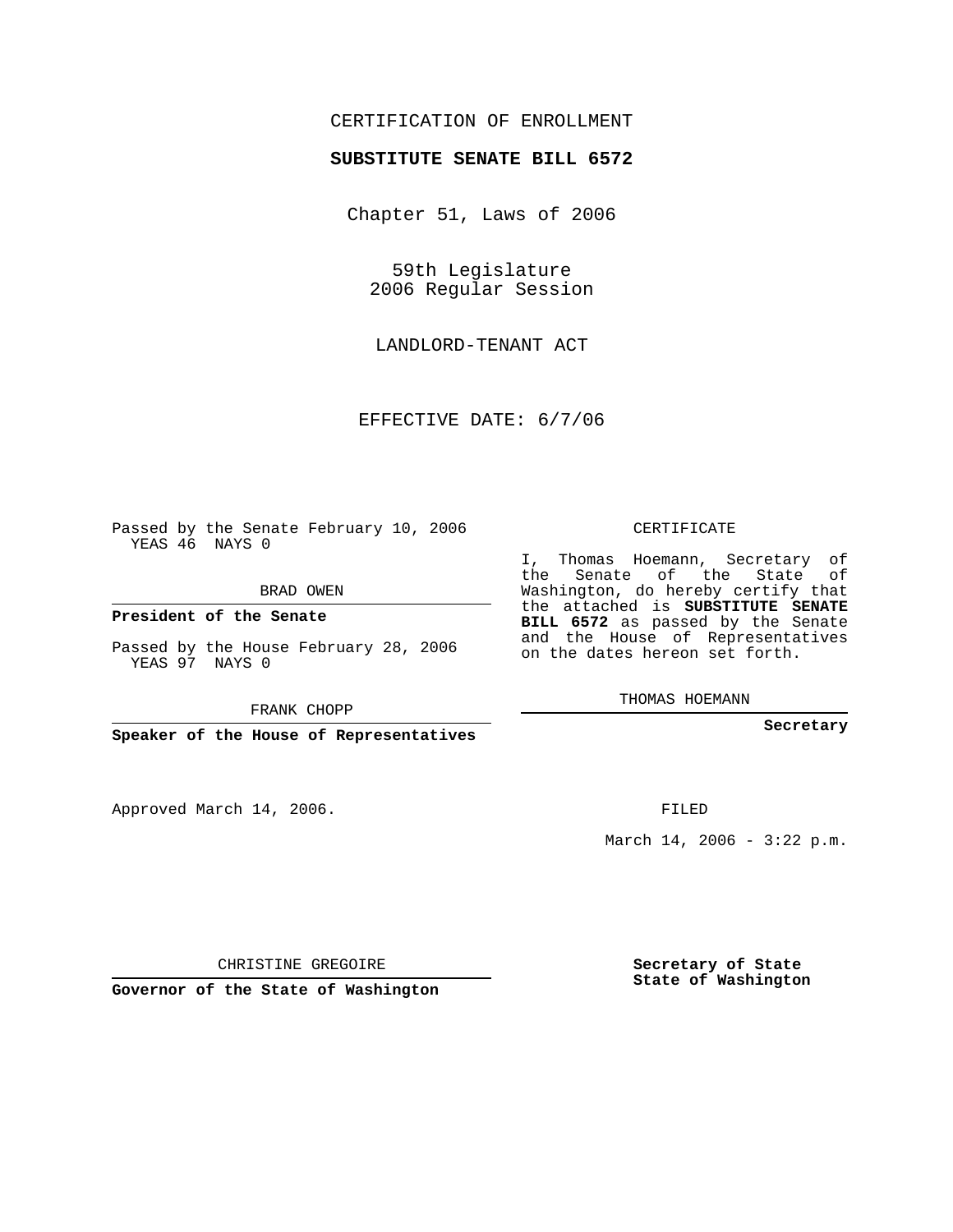## CERTIFICATION OF ENROLLMENT

#### **SUBSTITUTE SENATE BILL 6572**

Chapter 51, Laws of 2006

59th Legislature 2006 Regular Session

LANDLORD-TENANT ACT

EFFECTIVE DATE: 6/7/06

Passed by the Senate February 10, 2006 YEAS 46 NAYS 0

BRAD OWEN

**President of the Senate**

Passed by the House February 28, 2006 YEAS 97 NAYS 0

FRANK CHOPP

**Speaker of the House of Representatives**

Approved March 14, 2006.

CERTIFICATE

I, Thomas Hoemann, Secretary of the Senate of the State of Washington, do hereby certify that the attached is **SUBSTITUTE SENATE BILL 6572** as passed by the Senate and the House of Representatives on the dates hereon set forth.

THOMAS HOEMANN

**Secretary**

FILED

March 14, 2006 -  $3:22$  p.m.

CHRISTINE GREGOIRE

**Governor of the State of Washington**

**Secretary of State State of Washington**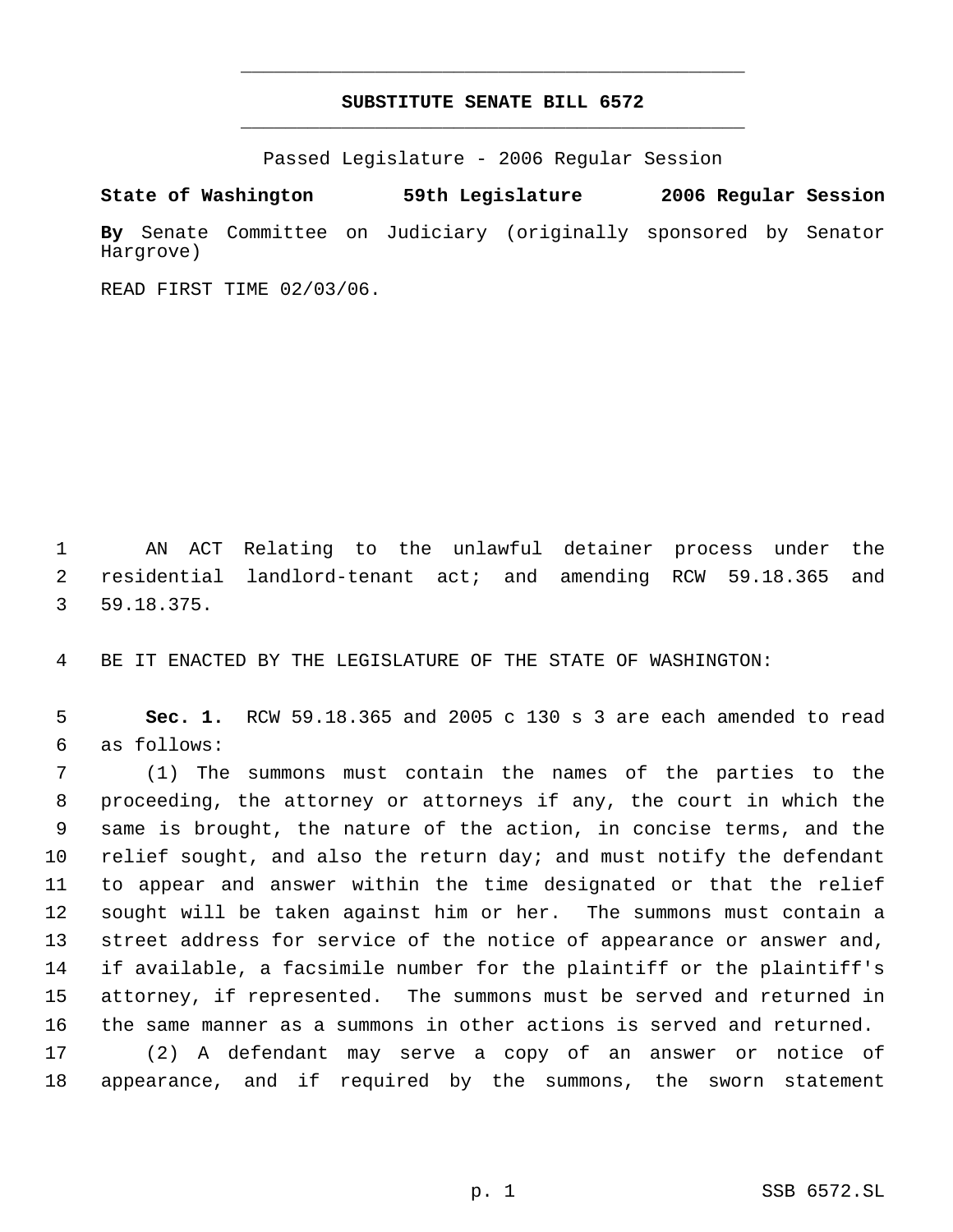# **SUBSTITUTE SENATE BILL 6572** \_\_\_\_\_\_\_\_\_\_\_\_\_\_\_\_\_\_\_\_\_\_\_\_\_\_\_\_\_\_\_\_\_\_\_\_\_\_\_\_\_\_\_\_\_

\_\_\_\_\_\_\_\_\_\_\_\_\_\_\_\_\_\_\_\_\_\_\_\_\_\_\_\_\_\_\_\_\_\_\_\_\_\_\_\_\_\_\_\_\_

Passed Legislature - 2006 Regular Session

**State of Washington 59th Legislature 2006 Regular Session By** Senate Committee on Judiciary (originally sponsored by Senator Hargrove)

READ FIRST TIME 02/03/06.

 AN ACT Relating to the unlawful detainer process under the residential landlord-tenant act; and amending RCW 59.18.365 and 59.18.375.

BE IT ENACTED BY THE LEGISLATURE OF THE STATE OF WASHINGTON:

 **Sec. 1.** RCW 59.18.365 and 2005 c 130 s 3 are each amended to read as follows:

 (1) The summons must contain the names of the parties to the proceeding, the attorney or attorneys if any, the court in which the same is brought, the nature of the action, in concise terms, and the 10 relief sought, and also the return day; and must notify the defendant to appear and answer within the time designated or that the relief sought will be taken against him or her. The summons must contain a street address for service of the notice of appearance or answer and, if available, a facsimile number for the plaintiff or the plaintiff's attorney, if represented. The summons must be served and returned in the same manner as a summons in other actions is served and returned. (2) A defendant may serve a copy of an answer or notice of

appearance, and if required by the summons, the sworn statement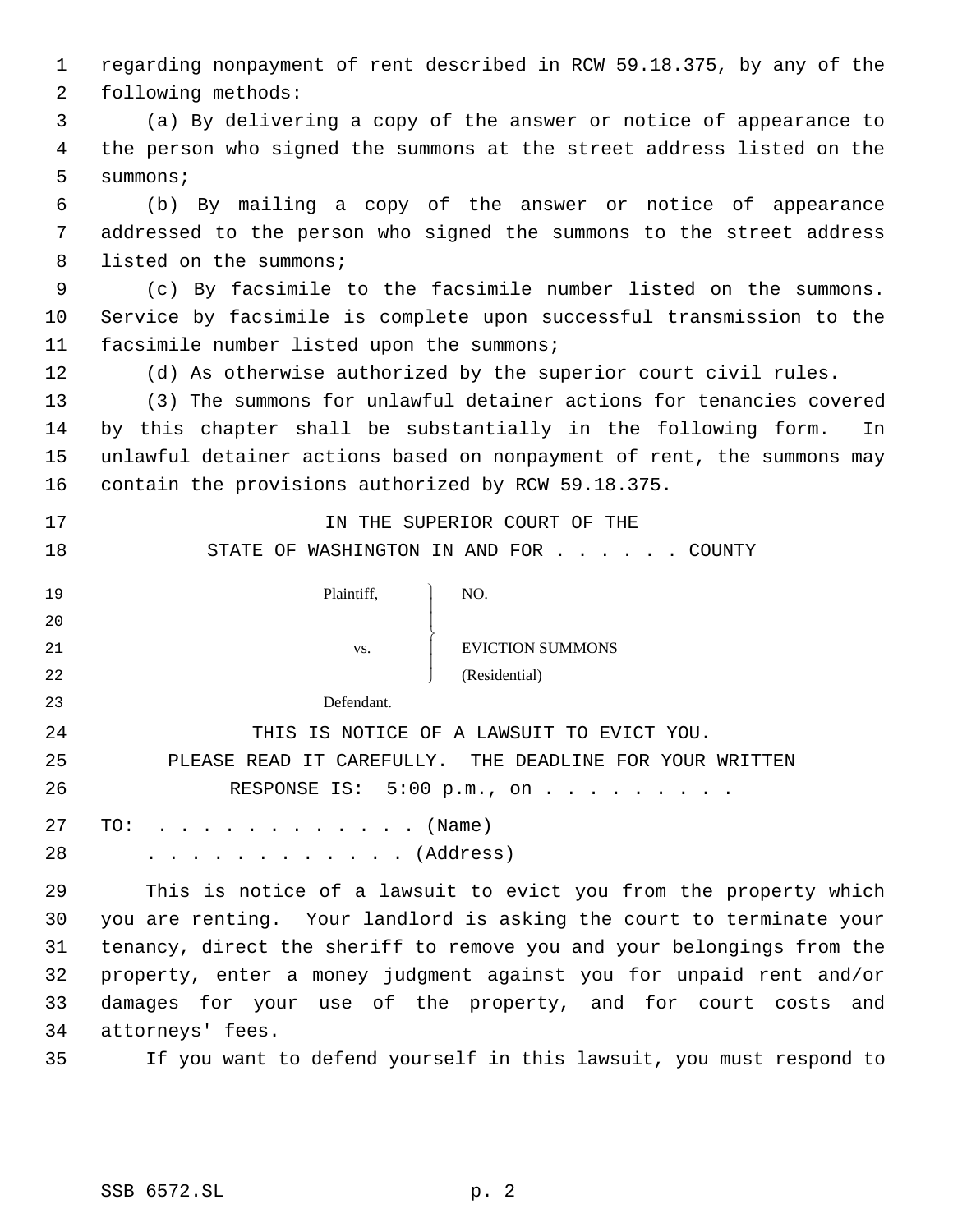regarding nonpayment of rent described in RCW 59.18.375, by any of the following methods:

 (a) By delivering a copy of the answer or notice of appearance to the person who signed the summons at the street address listed on the summons;

 (b) By mailing a copy of the answer or notice of appearance addressed to the person who signed the summons to the street address 8 listed on the summons;

 (c) By facsimile to the facsimile number listed on the summons. Service by facsimile is complete upon successful transmission to the facsimile number listed upon the summons;

(d) As otherwise authorized by the superior court civil rules.

 (3) The summons for unlawful detainer actions for tenancies covered by this chapter shall be substantially in the following form. In unlawful detainer actions based on nonpayment of rent, the summons may contain the provisions authorized by RCW 59.18.375.

**IN THE SUPERIOR COURT OF THE** 18 STATE OF WASHINGTON IN AND FOR . . . . . COUNTY

| 19 | Plaintiff, | NO.                     |
|----|------------|-------------------------|
| 20 |            |                         |
| 21 | VS.        | <b>EVICTION SUMMONS</b> |
| 22 |            | (Residential)           |
| 23 | Defendant. |                         |

 THIS IS NOTICE OF A LAWSUIT TO EVICT YOU. PLEASE READ IT CAREFULLY. THE DEADLINE FOR YOUR WRITTEN 26 RESPONSE IS: 5:00 p.m., on . . . . . . . . . 27 TO: . . . . . . . . . . . . (Name)

28 . . . . . . . . . . . . (Address)

 This is notice of a lawsuit to evict you from the property which you are renting. Your landlord is asking the court to terminate your tenancy, direct the sheriff to remove you and your belongings from the property, enter a money judgment against you for unpaid rent and/or damages for your use of the property, and for court costs and attorneys' fees.

If you want to defend yourself in this lawsuit, you must respond to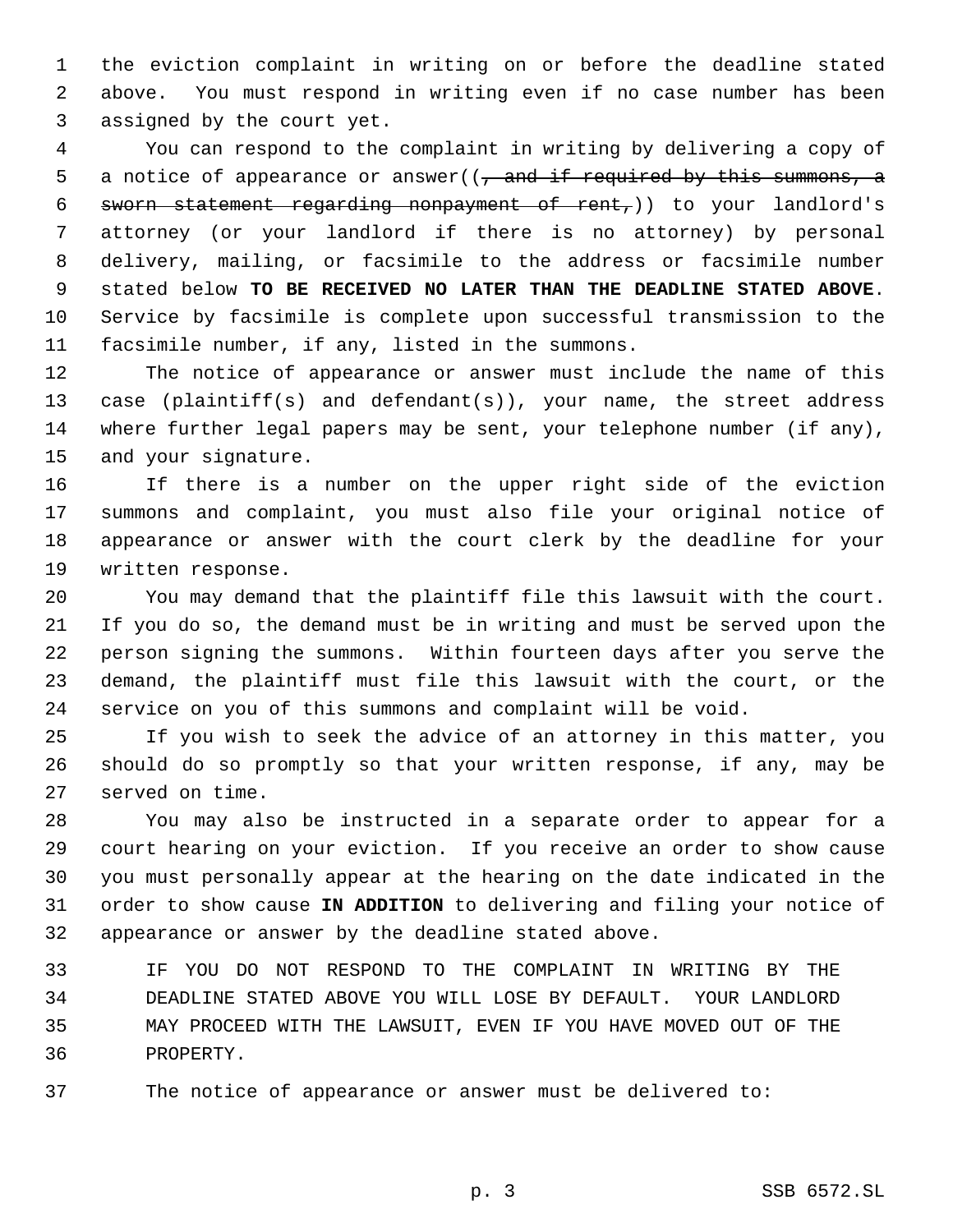the eviction complaint in writing on or before the deadline stated above. You must respond in writing even if no case number has been assigned by the court yet.

 You can respond to the complaint in writing by delivering a copy of 5 a notice of appearance or answer( $\sqrt{7}$  and if required by this summons, a sworn statement regarding nonpayment of rent,)) to your landlord's attorney (or your landlord if there is no attorney) by personal delivery, mailing, or facsimile to the address or facsimile number stated below **TO BE RECEIVED NO LATER THAN THE DEADLINE STATED ABOVE**. Service by facsimile is complete upon successful transmission to the facsimile number, if any, listed in the summons.

 The notice of appearance or answer must include the name of this case (plaintiff(s) and defendant(s)), your name, the street address where further legal papers may be sent, your telephone number (if any), and your signature.

 If there is a number on the upper right side of the eviction summons and complaint, you must also file your original notice of appearance or answer with the court clerk by the deadline for your written response.

 You may demand that the plaintiff file this lawsuit with the court. If you do so, the demand must be in writing and must be served upon the person signing the summons. Within fourteen days after you serve the demand, the plaintiff must file this lawsuit with the court, or the service on you of this summons and complaint will be void.

 If you wish to seek the advice of an attorney in this matter, you should do so promptly so that your written response, if any, may be served on time.

 You may also be instructed in a separate order to appear for a court hearing on your eviction. If you receive an order to show cause you must personally appear at the hearing on the date indicated in the order to show cause **IN ADDITION** to delivering and filing your notice of appearance or answer by the deadline stated above.

 IF YOU DO NOT RESPOND TO THE COMPLAINT IN WRITING BY THE DEADLINE STATED ABOVE YOU WILL LOSE BY DEFAULT. YOUR LANDLORD MAY PROCEED WITH THE LAWSUIT, EVEN IF YOU HAVE MOVED OUT OF THE PROPERTY.

The notice of appearance or answer must be delivered to:

p. 3 SSB 6572.SL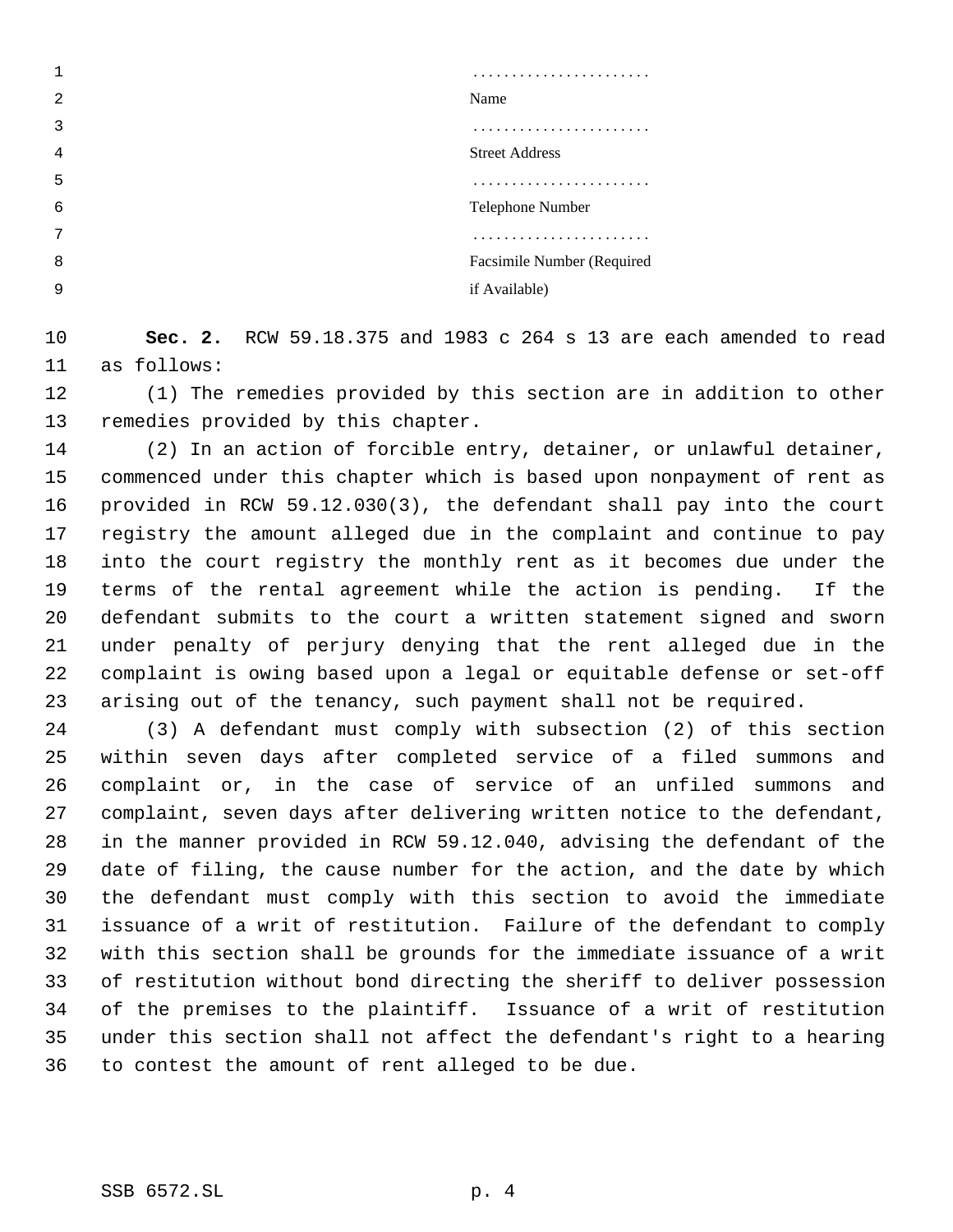| 2 | Name                       |
|---|----------------------------|
| 3 |                            |
| 4 | <b>Street Address</b>      |
| 5 |                            |
| 6 | Telephone Number           |
| 7 |                            |
| 8 | Facsimile Number (Required |
| 9 | if Available)              |

 **Sec. 2.** RCW 59.18.375 and 1983 c 264 s 13 are each amended to read as follows:

 (1) The remedies provided by this section are in addition to other remedies provided by this chapter.

 (2) In an action of forcible entry, detainer, or unlawful detainer, commenced under this chapter which is based upon nonpayment of rent as provided in RCW 59.12.030(3), the defendant shall pay into the court registry the amount alleged due in the complaint and continue to pay into the court registry the monthly rent as it becomes due under the terms of the rental agreement while the action is pending. If the defendant submits to the court a written statement signed and sworn under penalty of perjury denying that the rent alleged due in the complaint is owing based upon a legal or equitable defense or set-off arising out of the tenancy, such payment shall not be required.

 (3) A defendant must comply with subsection (2) of this section within seven days after completed service of a filed summons and complaint or, in the case of service of an unfiled summons and complaint, seven days after delivering written notice to the defendant, in the manner provided in RCW 59.12.040, advising the defendant of the date of filing, the cause number for the action, and the date by which the defendant must comply with this section to avoid the immediate issuance of a writ of restitution. Failure of the defendant to comply with this section shall be grounds for the immediate issuance of a writ of restitution without bond directing the sheriff to deliver possession of the premises to the plaintiff. Issuance of a writ of restitution under this section shall not affect the defendant's right to a hearing to contest the amount of rent alleged to be due.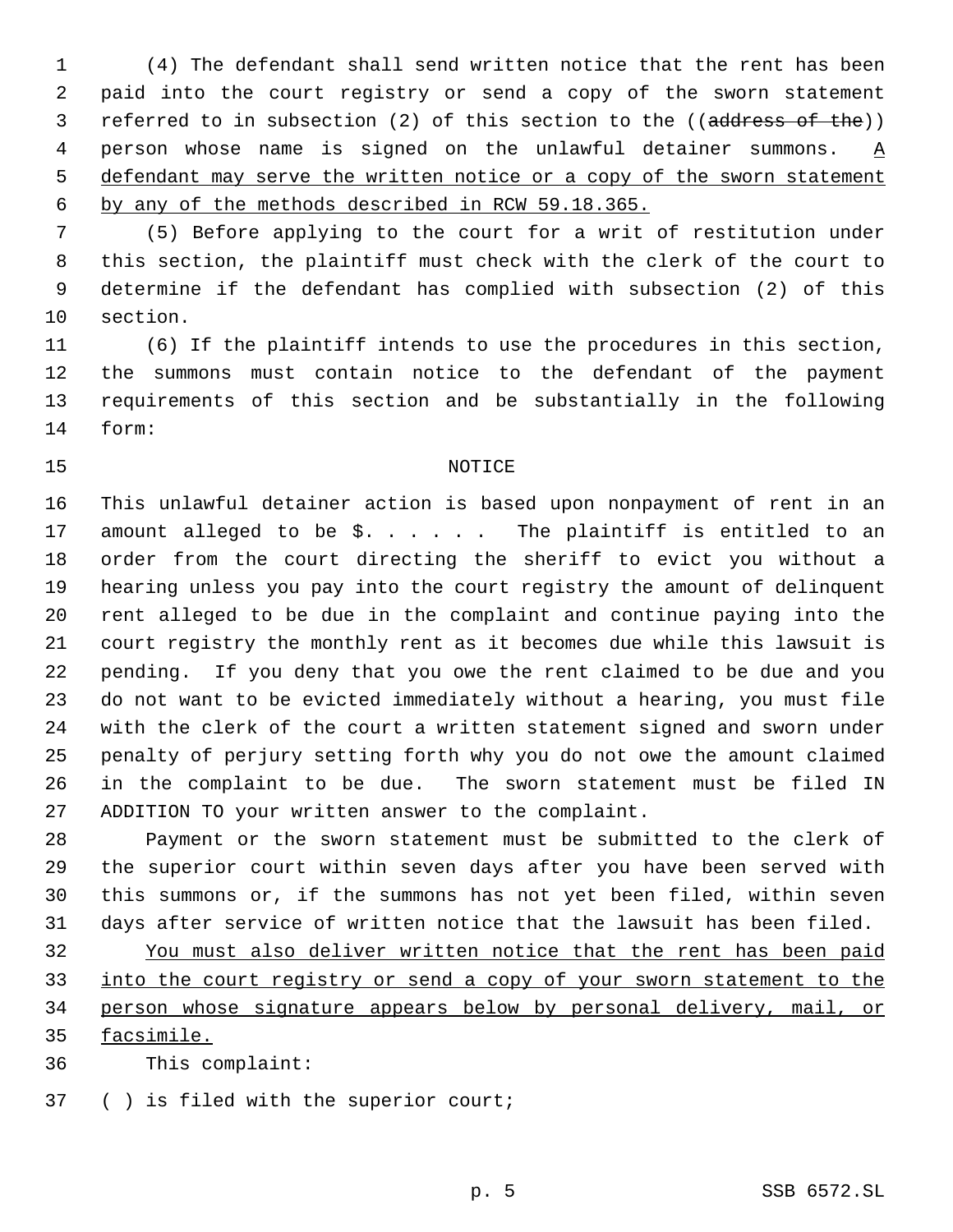(4) The defendant shall send written notice that the rent has been paid into the court registry or send a copy of the sworn statement 3 referred to in subsection (2) of this section to the ((address of the)) person whose name is signed on the unlawful detainer summons. A 5 defendant may serve the written notice or a copy of the sworn statement by any of the methods described in RCW 59.18.365.

 (5) Before applying to the court for a writ of restitution under this section, the plaintiff must check with the clerk of the court to determine if the defendant has complied with subsection (2) of this section.

 (6) If the plaintiff intends to use the procedures in this section, the summons must contain notice to the defendant of the payment requirements of this section and be substantially in the following form:

### 15 NOTICE

 This unlawful detainer action is based upon nonpayment of rent in an 17 amount alleged to be  $\hat{S}$ . . . . . The plaintiff is entitled to an order from the court directing the sheriff to evict you without a hearing unless you pay into the court registry the amount of delinquent rent alleged to be due in the complaint and continue paying into the court registry the monthly rent as it becomes due while this lawsuit is pending. If you deny that you owe the rent claimed to be due and you do not want to be evicted immediately without a hearing, you must file with the clerk of the court a written statement signed and sworn under penalty of perjury setting forth why you do not owe the amount claimed in the complaint to be due. The sworn statement must be filed IN ADDITION TO your written answer to the complaint.

 Payment or the sworn statement must be submitted to the clerk of the superior court within seven days after you have been served with this summons or, if the summons has not yet been filed, within seven days after service of written notice that the lawsuit has been filed.

 You must also deliver written notice that the rent has been paid into the court registry or send a copy of your sworn statement to the person whose signature appears below by personal delivery, mail, or facsimile.

This complaint:

( ) is filed with the superior court;